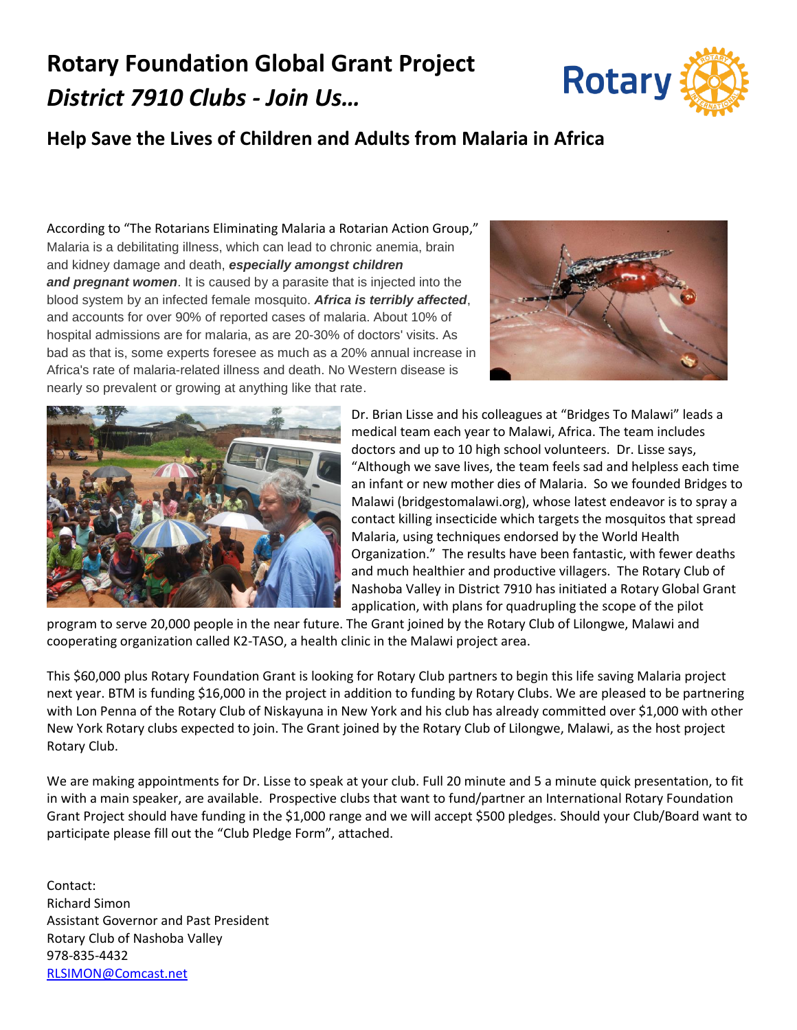## **Rotary Foundation Global Grant Project** *District 7910 Clubs - Join Us…*



## **Help Save the Lives of Children and Adults from Malaria in Africa**

According to "The Rotarians Eliminating Malaria a Rotarian Action Group," Malaria is a debilitating illness, which can lead to chronic anemia, brain and kidney damage and death, *especially amongst children and pregnant women*. It is caused by a parasite that is injected into the blood system by an infected female mosquito. *Africa is terribly affected*, and accounts for over 90% of reported cases of malaria. About 10% of hospital admissions are for malaria, as are 20-30% of doctors' visits. As bad as that is, some experts foresee as much as a 20% annual increase in Africa's rate of malaria-related illness and death. No Western disease is nearly so prevalent or growing at anything like that rate.





Dr. Brian Lisse and his colleagues at "Bridges To Malawi" leads a medical team each year to Malawi, Africa. The team includes doctors and up to 10 high school volunteers. Dr. Lisse says, "Although we save lives, the team feels sad and helpless each time an infant or new mother dies of Malaria. So we founded Bridges to Malawi (bridgestomalawi.org), whose latest endeavor is to spray a contact killing insecticide which targets the mosquitos that spread Malaria, using techniques endorsed by the World Health Organization." The results have been fantastic, with fewer deaths and much healthier and productive villagers. The Rotary Club of Nashoba Valley in District 7910 has initiated a Rotary Global Grant application, with plans for quadrupling the scope of the pilot

program to serve 20,000 people in the near future. The Grant joined by the Rotary Club of Lilongwe, Malawi and cooperating organization called K2-TASO, a health clinic in the Malawi project area.

This \$60,000 plus Rotary Foundation Grant is looking for Rotary Club partners to begin this life saving Malaria project next year. BTM is funding \$16,000 in the project in addition to funding by Rotary Clubs. We are pleased to be partnering with Lon Penna of the Rotary Club of Niskayuna in New York and his club has already committed over \$1,000 with other New York Rotary clubs expected to join. The Grant joined by the Rotary Club of Lilongwe, Malawi, as the host project Rotary Club.

We are making appointments for Dr. Lisse to speak at your club. Full 20 minute and 5 a minute quick presentation, to fit in with a main speaker, are available. Prospective clubs that want to fund/partner an International Rotary Foundation Grant Project should have funding in the \$1,000 range and we will accept \$500 pledges. Should your Club/Board want to participate please fill out the "Club Pledge Form", attached.

Contact: Richard Simon Assistant Governor and Past President Rotary Club of Nashoba Valley 978-835-4432 [RLSIMON@Comcast.net](mailto:RLSIMON@Comcast.net)